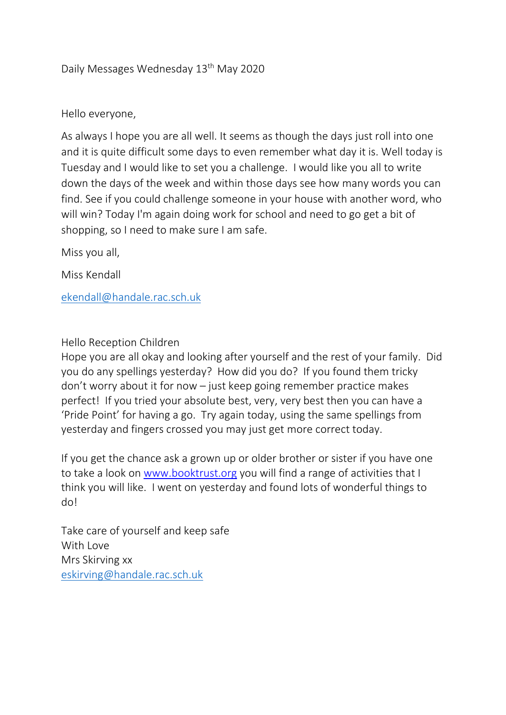# Daily Messages Wednesday 13th May 2020

### Hello everyone,

As always I hope you are all well. It seems as though the days just roll into one and it is quite difficult some days to even remember what day it is. Well today is Tuesday and I would like to set you a challenge. I would like you all to write down the days of the week and within those days see how many words you can find. See if you could challenge someone in your house with another word, who will win? Today I'm again doing work for school and need to go get a bit of shopping, so I need to make sure I am safe.

Miss you all,

Miss Kendall

[ekendall@handale.rac.sch.uk](mailto:ekendall@handale.rac.sch.uk)

#### Hello Reception Children

Hope you are all okay and looking after yourself and the rest of your family. Did you do any spellings yesterday? How did you do? If you found them tricky don't worry about it for now – just keep going remember practice makes perfect! If you tried your absolute best, very, very best then you can have a 'Pride Point' for having a go. Try again today, using the same spellings from yesterday and fingers crossed you may just get more correct today.

If you get the chance ask a grown up or older brother or sister if you have one to take a look on [www.booktrust.org](http://www.booktrust.org/) you will find a range of activities that I think you will like. I went on yesterday and found lots of wonderful things to do!

Take care of yourself and keep safe With Love Mrs Skirving xx [eskirving@handale.rac.sch.uk](mailto:eskirving@handale.rac.sch.uk)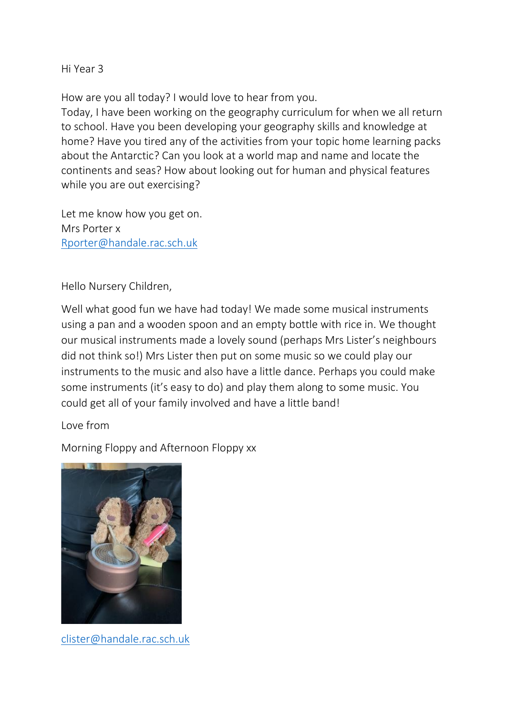Hi Year 3

How are you all today? I would love to hear from you.

Today, I have been working on the geography curriculum for when we all return to school. Have you been developing your geography skills and knowledge at home? Have you tired any of the activities from your topic home learning packs about the Antarctic? Can you look at a world map and name and locate the continents and seas? How about looking out for human and physical features while you are out exercising?

Let me know how you get on. Mrs Porter x [Rporter@handale.rac.sch.uk](mailto:Rporter@handale.rac.sch.uk)

Hello Nursery Children,

Well what good fun we have had today! We made some musical instruments using a pan and a wooden spoon and an empty bottle with rice in. We thought our musical instruments made a lovely sound (perhaps Mrs Lister's neighbours did not think so!) Mrs Lister then put on some music so we could play our instruments to the music and also have a little dance. Perhaps you could make some instruments (it's easy to do) and play them along to some music. You could get all of your family involved and have a little band!

### Love from

Morning Floppy and Afternoon Floppy xx



[clister@handale.rac.sch.uk](mailto:clister@handale.rac.sch.uk)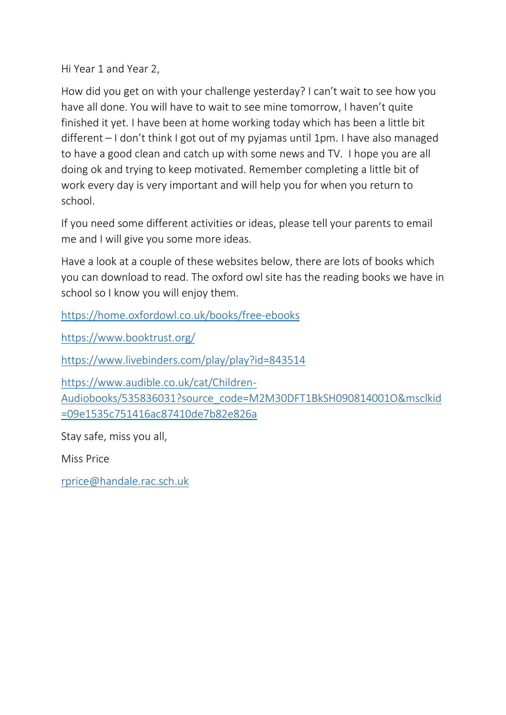Hi Year 1 and Year 2,

How did you get on with your challenge yesterday? I can't wait to see how you have all done. You will have to wait to see mine tomorrow, I haven't quite finished it yet. I have been at home working today which has been a little bit different – I don't think I got out of my pyjamas until 1pm. I have also managed to have a good clean and catch up with some news and TV. I hope you are all doing ok and trying to keep motivated. Remember completing a little bit of work every day is very important and will help you for when you return to school.

If you need some different activities or ideas, please tell your parents to email me and I will give you some more ideas.

Have a look at a couple of these websites below, there are lots of books which you can download to read. The oxford owl site has the reading books we have in school so I know you will enjoy them.

<https://home.oxfordowl.co.uk/books/free-ebooks>

<https://www.booktrust.org/>

<https://www.livebinders.com/play/play?id=843514>

[https://www.audible.co.uk/cat/Children-](https://www.audible.co.uk/cat/Children-Audiobooks/535836031?source_code=M2M30DFT1BkSH090814001O&msclkid=09e1535c751416ac87410de7b82e826a)[Audiobooks/535836031?source\\_code=M2M30DFT1BkSH090814001O&msclkid](https://www.audible.co.uk/cat/Children-Audiobooks/535836031?source_code=M2M30DFT1BkSH090814001O&msclkid=09e1535c751416ac87410de7b82e826a) [=09e1535c751416ac87410de7b82e826a](https://www.audible.co.uk/cat/Children-Audiobooks/535836031?source_code=M2M30DFT1BkSH090814001O&msclkid=09e1535c751416ac87410de7b82e826a)

Stay safe, miss you all,

Miss Price

[rprice@handale.rac.sch.uk](mailto:rprice@handale.rac.sch.uk)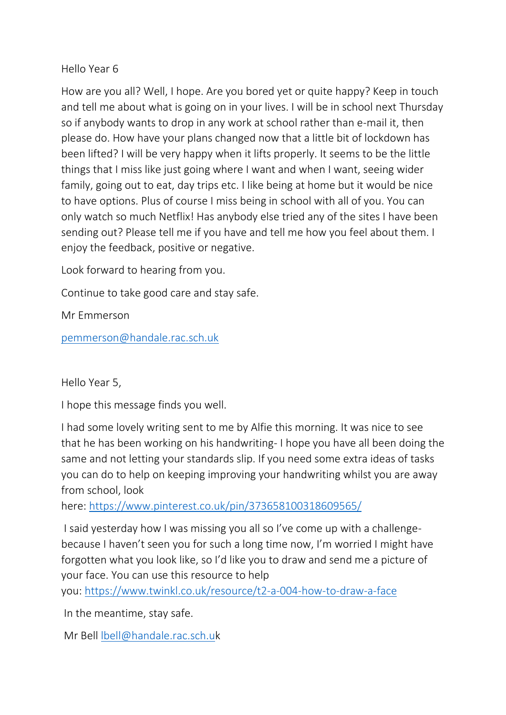## Hello Year 6

How are you all? Well, I hope. Are you bored yet or quite happy? Keep in touch and tell me about what is going on in your lives. I will be in school next Thursday so if anybody wants to drop in any work at school rather than e-mail it, then please do. How have your plans changed now that a little bit of lockdown has been lifted? I will be very happy when it lifts properly. It seems to be the little things that I miss like just going where I want and when I want, seeing wider family, going out to eat, day trips etc. I like being at home but it would be nice to have options. Plus of course I miss being in school with all of you. You can only watch so much Netflix! Has anybody else tried any of the sites I have been sending out? Please tell me if you have and tell me how you feel about them. I enjoy the feedback, positive or negative.

Look forward to hearing from you.

Continue to take good care and stay safe.

Mr Emmerson

[pemmerson@handale.rac.sch.uk](mailto:pemmerson@handale.rac.sch.uk)

Hello Year 5,

I hope this message finds you well.

I had some lovely writing sent to me by Alfie this morning. It was nice to see that he has been working on his handwriting- I hope you have all been doing the same and not letting your standards slip. If you need some extra ideas of tasks you can do to help on keeping improving your handwriting whilst you are away from school, look

here: <https://www.pinterest.co.uk/pin/373658100318609565/>

I said yesterday how I was missing you all so I've come up with a challengebecause I haven't seen you for such a long time now, I'm worried I might have forgotten what you look like, so I'd like you to draw and send me a picture of your face. You can use this resource to help

you: <https://www.twinkl.co.uk/resource/t2-a-004-how-to-draw-a-face>

In the meantime, stay safe.

Mr Bell [lbell@handale.rac.sch.uk](mailto:lbell@handale.rac.sch.u)